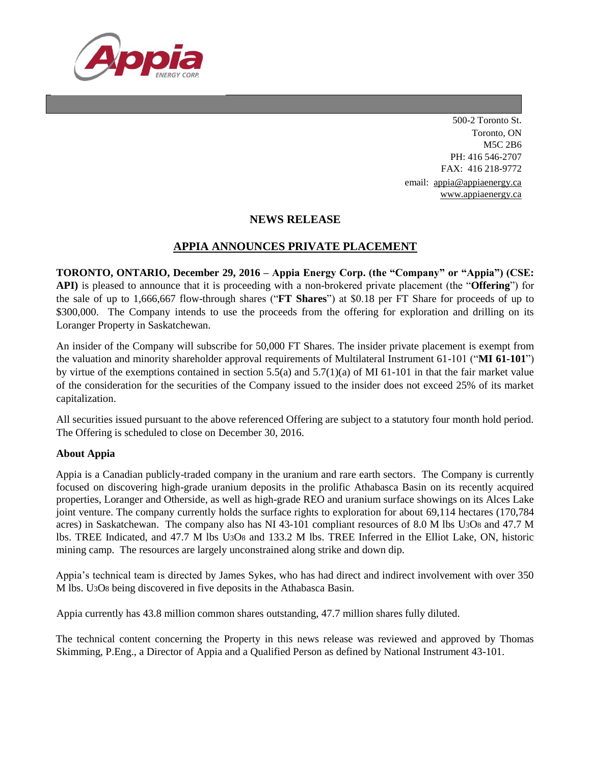

500-2 Toronto St. Toronto, ON M5C 2B6 PH: 416 546-2707 FAX: 416 218-9772 email: [appia@appiaenergy.ca](mailto:appia@appiaenergy.ca) [www.appiaenergy.ca](http://www.appiaenergy.ca/)

## **NEWS RELEASE**

## **APPIA ANNOUNCES PRIVATE PLACEMENT**

**TORONTO, ONTARIO, December 29, 2016 – Appia Energy Corp. (the "Company" or "Appia") (CSE: API)** is pleased to announce that it is proceeding with a non-brokered private placement (the "**Offering**") for the sale of up to 1,666,667 flow-through shares ("**FT Shares**") at \$0.18 per FT Share for proceeds of up to \$300,000. The Company intends to use the proceeds from the offering for exploration and drilling on its Loranger Property in Saskatchewan.

An insider of the Company will subscribe for 50,000 FT Shares. The insider private placement is exempt from the valuation and minority shareholder approval requirements of Multilateral Instrument 61-101 ("**MI 61-101**") by virtue of the exemptions contained in section 5.5(a) and  $5.7(1)(a)$  of MI 61-101 in that the fair market value of the consideration for the securities of the Company issued to the insider does not exceed 25% of its market capitalization.

All securities issued pursuant to the above referenced Offering are subject to a statutory four month hold period. The Offering is scheduled to close on December 30, 2016.

## **About Appia**

Appia is a Canadian publicly-traded company in the uranium and rare earth sectors. The Company is currently focused on discovering high-grade uranium deposits in the prolific Athabasca Basin on its recently acquired properties, Loranger and Otherside, as well as high-grade REO and uranium surface showings on its Alces Lake joint venture. The company currently holds the surface rights to exploration for about 69,114 hectares (170,784 acres) in Saskatchewan. The company also has NI 43-101 compliant resources of 8.0 M lbs U3O8 and 47.7 M lbs. TREE Indicated, and 47.7 M lbs U3O8 and 133.2 M lbs. TREE Inferred in the Elliot Lake, ON, historic mining camp. The resources are largely unconstrained along strike and down dip.

Appia's technical team is directed by James Sykes, who has had direct and indirect involvement with over 350 M lbs. U3O8 being discovered in five deposits in the Athabasca Basin.

Appia currently has 43.8 million common shares outstanding, 47.7 million shares fully diluted.

The technical content concerning the Property in this news release was reviewed and approved by Thomas Skimming, P.Eng., a Director of Appia and a Qualified Person as defined by National Instrument 43-101.